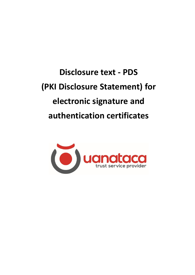**Disclosure text - PDS (PKI Disclosure Statement) for electronic signature and authentication certificates**

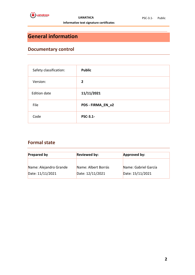

## <span id="page-1-0"></span>**General information**

## <span id="page-1-1"></span>**Documentary control**

| Safety classification: | <b>Public</b>     |
|------------------------|-------------------|
| Version:               | $\overline{2}$    |
| <b>Edition date</b>    | 11/11/2021        |
| File                   | PDS - FIRMA_EN_v2 |
| Code                   | <b>PSC-3.1-</b>   |

### <span id="page-1-2"></span>**Formal state**

| <b>Prepared by</b>     | <b>Reviewed by:</b> | Approved by:         |  |
|------------------------|---------------------|----------------------|--|
| Name: Alejandro Grande | Name: Albert Borrás | Name: Gabriel García |  |
| Date: 11/11/2021       | Date: 12/11/2021    | Date: 15/11/2021     |  |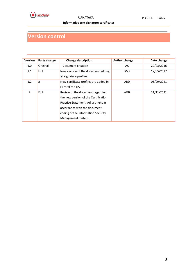

# <span id="page-2-0"></span>**Version control**

| <b>Version</b> | Parts change | <b>Change description</b>                                                                                                                                                                                 | <b>Author change</b> | Date change |
|----------------|--------------|-----------------------------------------------------------------------------------------------------------------------------------------------------------------------------------------------------------|----------------------|-------------|
| 1.0            | Original     | Document creation                                                                                                                                                                                         | AC                   | 22/03/2016  |
| 1.1            | Full         | New version of the document adding<br>all signature profiles                                                                                                                                              | <b>DMP</b>           | 12/05/2017  |
| 1.2            | 2            | New certificate profiles are added in<br>Centralized QSCD                                                                                                                                                 | ABD                  | 05/09/2021  |
| $\mathcal{P}$  | Full         | Review of the document regarding<br>the new version of the Certification<br>Practice Statement. Adjustment in<br>accordance with the document<br>coding of the Information Security<br>Management System. | AGB                  | 11/11/2021  |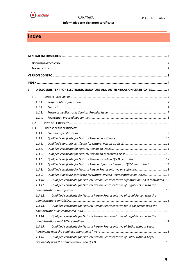

## <span id="page-3-0"></span>**Index**

| 1. |         | DISCLOSURE TEXT FOR ELECTRONIC SIGNATURE AND AUTHENTICATION CERTIFICATES 7              |  |
|----|---------|-----------------------------------------------------------------------------------------|--|
|    | 1.1.    |                                                                                         |  |
|    | 1.1.1.  |                                                                                         |  |
|    | 1.1.2.  |                                                                                         |  |
|    | 1.1.3.  |                                                                                         |  |
|    | 1.1.4.  |                                                                                         |  |
|    | 1.2.    |                                                                                         |  |
|    | 1.3.    |                                                                                         |  |
|    | 1.3.1.  |                                                                                         |  |
|    | 1.3.2.  |                                                                                         |  |
|    | 1.3.3.  |                                                                                         |  |
|    | 1.3.4.  |                                                                                         |  |
|    | 1.3.5.  |                                                                                         |  |
|    | 1.3.6.  | Qualified certificate for Natural Person issued on QSCD centralized12                   |  |
|    | 1.3.7.  | Qualified certificate for Natural Person signature issued on QSCD centralized  13       |  |
|    | 1.3.8.  | Qualified certificate for Natural Person Representative on software13                   |  |
|    | 1.3.9.  | Qualified signature certificate for Natural Person Representative on QSCD14             |  |
|    | 1.3.10. | Qualified certificate for Natural Person Representative signature on QSCD centralized15 |  |
|    | 1.3.11. | Qualified certificate for Natural Person Representative of Legal Person with the        |  |
|    |         |                                                                                         |  |
|    | 1.3.12. | Qualified certificate for Natural Person Representative of Legal Person with the        |  |
|    |         |                                                                                         |  |
|    | 1.3.13. | Qualified certificate for Natural Person Representative for Legal person with the       |  |
|    |         |                                                                                         |  |
|    | 1.3.14. | Qualified certificate for Natural Person Representative of Legal Person with the        |  |
|    |         |                                                                                         |  |
|    | 1.3.15. | Qualified certificate for Natural Person Representative of Entity without Legal         |  |
|    |         |                                                                                         |  |
|    | 1.3.16. | Qualified certificate for Natural Person Representative of Entity without Legal         |  |
|    |         |                                                                                         |  |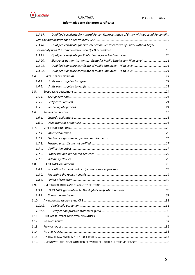$\dddot{\bullet}$  ugnataca

#### Informative text signature certificates

| 1.3.17. | Qualified certificate for natural Person Representative of Entity without Legal Personality |  |
|---------|---------------------------------------------------------------------------------------------|--|
|         |                                                                                             |  |
| 1.3.18. | Qualified certificate for Natural Person Representative of Entity without Legal             |  |
|         |                                                                                             |  |
| 1.3.19. |                                                                                             |  |
| 1.3.20. | Electronic authentication certificate for Public Employee - High Level21                    |  |
| 1.3.21. |                                                                                             |  |
| 1.3.22. |                                                                                             |  |
| 1.4.    |                                                                                             |  |
| 1.4.1.  |                                                                                             |  |
| 1.4.2.  |                                                                                             |  |
| 1.5.    |                                                                                             |  |
| 1.5.1.  |                                                                                             |  |
| 1.5.2.  |                                                                                             |  |
| 1.5.3.  |                                                                                             |  |
| 1.6.    |                                                                                             |  |
| 1.6.1.  |                                                                                             |  |
| 1.6.2.  |                                                                                             |  |
| 1.7.    |                                                                                             |  |
| 1.7.1.  |                                                                                             |  |
| 1.7.2.  |                                                                                             |  |
| 1.7.3.  |                                                                                             |  |
| 1.7.4.  |                                                                                             |  |
| 1.7.5.  |                                                                                             |  |
| 1.7.6.  |                                                                                             |  |
| 1.8.    |                                                                                             |  |
| 1.8.1.  |                                                                                             |  |
| 1.8.2.  |                                                                                             |  |
| 1.8.3.  |                                                                                             |  |
| 1.9.    |                                                                                             |  |
| 1.9.1.  |                                                                                             |  |
| 1.9.2.  |                                                                                             |  |
| 1.10.   |                                                                                             |  |
| 1.10.1. |                                                                                             |  |
| 1.10.2. |                                                                                             |  |
| 1.11.   |                                                                                             |  |
| 1.12.   |                                                                                             |  |
| 1.13.   |                                                                                             |  |
| 1.14.   |                                                                                             |  |
| 1.15.   |                                                                                             |  |
| 1.16.   | LINKING WITH THE LIST OF QUALIFIED PROVIDERS OF TRUSTED ELECTRONIC SERVICES 33              |  |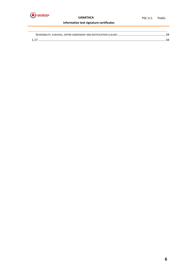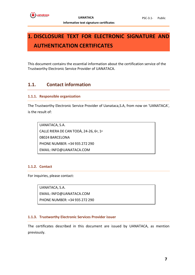## <span id="page-6-0"></span>**1. DISCLOSURE TEXT FOR ELECTRONIC SIGNATURE AND AUTHENTICATION CERTIFICATES**

This document contains the essential information about the certification service of the Trustworthy Electronic Service Provider of UANATACA.

### <span id="page-6-1"></span>**1.1. Contact information**

### <span id="page-6-2"></span>**1.1.1. Responsible organization**

The Trustworthy Electronic Service Provider of Uanataca,S.A, from now on 'UANATACA', is the result of:

UANATACA, S.A. CALLE RIERA DE CAN TODÀ, 24-26, 6º, 1ª 08024 BARCELONA PHONE NUMBER: +34 935 272 290 EMAIL: INFO@UANATACA.COM

### <span id="page-6-3"></span>**1.1.2. Contact**

For inquiries, please contact:

UANATACA, S.A.

EMAIL: INFO@UANATACA.COM

PHONE NUMBER: +34 935 272 290

### <span id="page-6-4"></span>**1.1.3. Trustworthy Electronic Services Provider issuer**

The certificates described in this document are issued by UANATACA, as mention previously.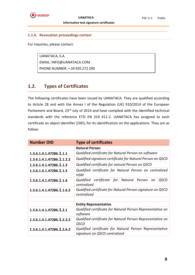

### <span id="page-7-0"></span>**1.1.4. Revocation proceedings contact**

For inquiries, please contact:

UANATACA, S.A. EMAIL: INFO@UANATACA.COM

PHONE NUMBER: + 34 935 272 290

### <span id="page-7-1"></span>**1.2. Types of Certificates**

The following certificates have been issued by UANATACA. They are qualified according to Article 28 and with the Annex I of the Regulation (UE) 910/2014 of the European Parliament and Board, 23<sup>rd</sup> July of 2014 and have complied with the identified technical standards with the reference ETSI EN 319 411-2. UANATACA has assigned to each certificate an object identifier (OID), for its identification on the applications. They are as follow:

| <b>Number OID</b>         | <b>Type of certificates</b>                                                                    |  |
|---------------------------|------------------------------------------------------------------------------------------------|--|
|                           | <b>Natural Person</b>                                                                          |  |
| 1.3.6.1.4.1.47286.1.1.1   | Qualified certificate for Natural Person on software                                           |  |
| 1.3.6.1.4.1.47286.1.1.2.2 | Qualified signature certificate for Natural Person on QSCD                                     |  |
| 1.3.6.1.4.1.47286.1.1.3   | Qualified certificate for natural Person on QSCD                                               |  |
| 1.3.6.1.4.1.47286.1.1.5   | Qualified certificate for Natural Person on centralized<br>HSM                                 |  |
| 1.3.6.1.4.1.47286.1.1.6   | Qualified certificate for Natural Person<br><i><b>OSCD</b></i><br><sub>on</sub><br>centralized |  |
| 1.3.6.1.4.1.47286.1.1.6.2 | Qualified certificate for Natural Person signature on QSCD<br>centralized                      |  |
|                           |                                                                                                |  |
|                           | <b>Entity Representative</b>                                                                   |  |
| 1.3.6.1.4.1.47286.1.2.1   | Qualified certificate for Natural Person Representative on<br>software                         |  |
| 1.3.6.1.4.1.47286.1.2.2.2 | Qualified certificate for Natural Person Representative on<br><b>QSCD</b>                      |  |
| 1.3.6.1.4.1.47286.1.2.6.2 | Qualified certificate for Natural Person Representative<br>signature on QSCD centralized       |  |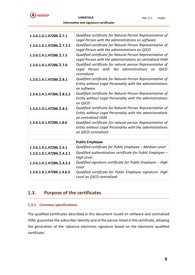

| 1.3.6.1.4.1.47286.1.7.1   | Qualified certificate for Natural Person Representative of<br>Legal Person with the administrations on software                                |
|---------------------------|------------------------------------------------------------------------------------------------------------------------------------------------|
| 1.3.6.1.4.1.47286.1.7.2.2 | Qualified certificate for Natural Person Representative of<br>Legal Person with the administrations on QSCD                                    |
| 1.3.6.1.4.1.47286.1.7.5   | Qualified certificate for Natural Person Representative of<br>Legal Person with the administrations on centralized HSM                         |
| 1.3.6.1.4.1.47286.1.7.6   | Qualified certificate for natural person Representative of<br>with the administrations<br>Leaal Person<br><b>QSCD</b><br>on<br>centralized     |
| 1.3.6.1.4.1.47286.1.8.1   | Qualified certificate for Natural Person Representative of<br>Entity without Legal Personality with the administrations<br>on software         |
| 1.3.6.1.4.1.47286.1.8.2.2 | Qualified certificate for Natural Person Representative of<br>Entity without Legal Personality with the administrations<br>on QSCD             |
| 1.3.6.1.4.1.47286.1.8.5   | Qualified certificate for Natural Person Representative of<br>Entity without Legal Personality with the administrations<br>on centralized HSM  |
| 1.3.6.1.4.1.47286.1.8.6   | Qualified certificate for natural person Representative of<br>Entity without Legal Personality with the administrations<br>on QSCD centralized |
|                           |                                                                                                                                                |
|                           | <b>Public Employee</b>                                                                                                                         |
| 1.3.6.1.4.1.47286.1.4.1   | Qualified certificate for Public Employee - Medium Level                                                                                       |
| 1.3.6.1.4.1.47286.1.4.2.1 | Qualified authentication certificate for Public Employee -<br><b>High Level</b>                                                                |
| 1.3.6.1.4.1.47286.1.4.2.2 | Qualified signature certificate for Public Employee - High<br>Level                                                                            |
| 1.3.6.1.4.1.47286.1.4.6.2 | Qualified certificate for Public Employee signature- High<br>Level on QSCD centralized.                                                        |

## <span id="page-8-0"></span>**1.3. Purpose of the certificates**

### <span id="page-8-1"></span>**1.3.1. Common specifications**

The qualified certificates described in this document issued on software and centralized HSM, guarantee the subscriber identity and of the person listed in the certificate, allowing the generation of the 'advance electronic signature based on the electronic qualified certificate'.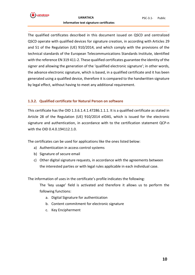

The qualified certificates described in this document issued on QSCD and centralized QSCD operate with qualified devices for signature creation, in according with Articles 29 and 51 of the Regulation (UE) 910/2014, and which comply with the provisions of the technical standards of the European Telecommunications Standards Institute, identified with the reference EN 319 411-2. These qualified certificates guarantee the identity of the signer and allowing the generation of the 'qualified electronic signature'; in other words, the advance electronic signature, which is based, in a qualified certificate and it has been generated using a qualified device, therefore it is compared to the handwritten signature by legal effect, without having to meet any additional requirement.

#### <span id="page-9-0"></span>**1.3.2. Qualified certificate for Natural Person on software**

This certificate has the OID 1.3.6.1.4.1.47286.1.1.1. It is a qualified certificate as stated in Article 28 of the Regulation (UE) 910/2014 eIDAS, which is issued for the electronic signature and authentication, in accordance with to the certification statement QCP-n with the OID 0.4.0.194112.1.0.

The certificates can be used for applications like the ones listed below:

- a) Authentication in access control systems
- b) Signature of secure email
- c) Other digital signature requests, in accordance with the agreements between the interested parties or with legal rules applicable in each individual case.

The information of uses in the certificate's profile indicates the following:

The 'key usage' field is activated and therefore it allows us to perform the following functions:

- a. Digital Signature for authentication
- b. Content commitment for electronic signature
- c. Key Encipherment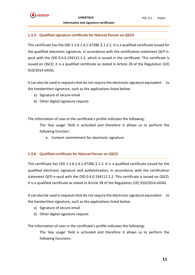### <span id="page-10-0"></span>**1.3.3. Qualified signature certificate for Natural Person on QSCD**

This certificate has the OID 1.3.6.1.4.1.47286.1.1.2.2. It is a qualified certificate issued for the qualified electronic signature, in accordance with the certification statement QCP-nqscd with the OID 0.4.0.194112.1.2, which is issued in the certificate. This certificate is issued on QSCD; it is a qualified certificate as stated in Article 28 of the Regulation (UE) 910/2014 eIDAS.

It can also be used in requests that do not require the electronic signature equivalent to the handwritten signature, such as the applications listed below:

- a) Signature of secure email
- b) Other digital signature request

The information of uses in the certificate's profile indicates the following:

The 'key usage' field is activated and therefore it allows us to perform the following function:

a. Content commitment for electronic signature

### <span id="page-10-1"></span>**1.3.4. Qualified certificate for Natural Person on QSCD**

This certificate has OID 1.3.6.1.4.1.47286.1.1.3. It is a qualified certificate issued for the qualified electronic signature and authentication, in accordance with the certification statement QCP-n-qscd with the OID 0.4.0.194112.1.2. This certificate is issued on QSCD, it is a qualified certificate as stated in Article 28 of the Regulation (UE) 910/2014 eIDAS.

It can also be used in requests that do not require the electronic signature equivalent to the handwritten signature, such as the applications listed below:

- a) Signature of secure email
- b) Other digital signature request

The information of uses in the certificate's profile indicates the following:

The 'key usage' field is activated and therefore it allows us to perform the following functions: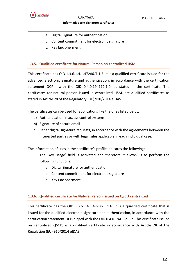

- a. Digital Signature for authentication
- b. Content commitment for electronic signature
- c. Key Encipherment

#### <span id="page-11-0"></span>**1.3.5. Qualified certificate for Natural Person on centralized HSM**

This certificate has OID 1.3.6.1.4.1.47286.1.1.5. It is a qualified certificate issued for the advanced electronic signature and authentication, in accordance with the certification statement QCP-n with the OID 0.4.0.194112.1.0, as stated in the certificate. The certificates for natural person issued in centralized HSM, are qualified certificates as stated in Article 28 of the Regulatory (UE) 910/2014 eIDAS.

The certificates can be used for applications like the ones listed below:

- a) Authentication in access control systems
- b) Signature of secure email
- c) Other digital signature requests, in accordance with the agreements between the interested parties or with legal rules applicable in each individual case.

The information of uses in the certificate's profile indicates the following:

The 'key usage' field is activated and therefore it allows us to perform the following functions:

- a. Digital Signature for authentication
- b. Content commitment for electronic signature
- c. Key Encipherment

#### <span id="page-11-1"></span>**1.3.6. Qualified certificate for Natural Person issued on QSCD centralized**

This certificate has the OID 1.3.6.1.4.1.47286.1.1.6. It is a qualified certificate that is issued for the qualified electronic signature and authentication, in accordance with the certification statement QCP-n-qscd with the OID 0.4.0.194112.1.2. This certificate issued on centralized QSCD, is a qualified certificate in accordance with Article 28 of the Regulation (EU) 910/2014 eIDAS.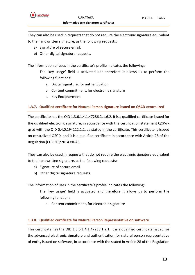

They can also be used in requests that do not require the electronic signature equivalent to the handwritten signature, as the following requests:

- a) Signature of secure email.
- b) Other digital signature requests.

The information of uses in the certificate's profile indicates the following:

The 'key usage' field is activated and therefore it allows us to perform the following functions:

- a. Digital Signature, for authentication
- b. Content commitment, for electronic signature
- c. Key Encipherment

### <span id="page-12-0"></span>**1.3.7. Qualified certificate for Natural Person signature issued on QSCD centralized**

The certificate has the OID 1.3.6.1.4.1.47286.1.1.6.2. It is a qualified certificate issued for the qualified electronic signature, in accordance with the certification statement QCP-nqscd with the OID 0.4.0.194112.1.2, as stated in the certificate. This certificate is issued on centralized QSCD, and it is a qualified certificate in accordance with Article 28 of the Regulation (EU) 910/2014 eIDAS.

They can also be used in requests that do not require the electronic signature equivalent to the handwritten signature, as the following requests:

- a) Signature of secure email.
- b) Other digital signature requests.

The information of uses in the certificate's profile indicates the following:

The 'key usage' field is activated and therefore it allows us to perform the following function:

a. Content commitment, for electronic signature

### <span id="page-12-1"></span>**1.3.8. Qualified certificate for Natural Person Representative on software**

This certificate has the OID 1.3.6.1.4.1.47286.1.2.1. It is a qualified certificate issued for the advanced electronic signature and authentication for natural person representative of entity issued on software, in accordance with the stated in Article 28 of the Regulation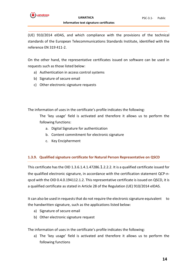

(UE) 910/2014 eIDAS, and which compliance with the provisions of the technical standards of the European Telecommunications Standards Institute, identified with the reference EN 319 411-2.

On the other hand, the representative certificates issued on software can be used in requests such as those listed below:

- a) Authentication in access control systems
- b) Signature of secure email
- c) Other electronic signature requests

The information of uses in the certificate's profile indicates the following:

The 'key usage' field is activated and therefore it allows us to perform the following functions:

- a. Digital Signature for authentication
- b. Content commitment for electronic signature
- c. Key Encipherment

### <span id="page-13-0"></span>**1.3.9. Qualified signature certificate for Natural Person Representative on QSCD**

This certificate has the OID 1.3.6.1.4.1.47286.1.2.2.2. It is a qualified certificate issued for the qualified electronic signature, in accordance with the certification statement QCP-nqscd with the OID 0.4.0.194112.1.2. This representative certificate is issued on QSCD, it is a qualified certificate as stated in Article 28 of the Regulation (UE) 910/2014 eIDAS.

It can also be used in requests that do not require the electronic signature equivalent to the handwritten signature, such as the applications listed below:

- a) Signature of secure email
- b) Other electronic signature request

The information of uses in the certificate's profile indicates the following:

a) The 'key usage' field is activated and therefore it allows us to perform the following functions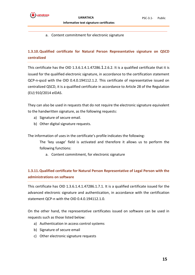

#### a. Content commitment for electronic signature

### <span id="page-14-0"></span>**1.3.10.Qualified certificate for Natural Person Representative signature on QSCD centralized**

This certificate has the OID 1.3.6.1.4.1.47286.1.2.6.2. It is a qualified certificate that it is issued for the qualified electronic signature, in accordance to the certification statement QCP-n-qscd with the OID 0.4.0.194112.1.2. This certificate of representative issued on centralized QSCD, it is a qualified certificate in accordance to Article 28 of the Regulation (EU) 910/2014 eIDAS.

They can also be used in requests that do not require the electronic signature equivalent to the handwritten signature, as the following requests:

- a) Signature of secure email.
- b) Other digital signature requests.

The information of uses in the certificate's profile indicates the following:

The 'key usage' field is activated and therefore it allows us to perform the following functions:

a. Content commitment, for electronic signature

### <span id="page-14-1"></span>**1.3.11.Qualified certificate for Natural Person Representative of Legal Person with the administrations on software**

This certificate has OID 1.3.6.1.4.1.47286.1.7.1. It is a qualified certificate issued for the advanced electronic signature and authentication, in accordance with the certification statement QCP-n with the OID 0.4.0.194112.1.0.

On the other hand, the representative certificates issued on software can be used in requests such as those listed below:

- a) Authentication in access control systems
- b) Signature of secure email
- c) Other electronic signature requests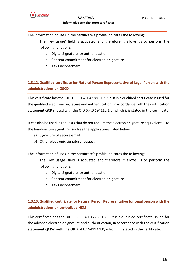

The information of uses in the certificate's profile indicates the following:

The 'key usage' field is activated and therefore it allows us to perform the following functions:

- a. Digital Signature for authentication
- b. Content commitment for electronic signature
- c. Key Encipherment

### <span id="page-15-0"></span>**1.3.12.Qualified certificate for Natural Person Representative of Legal Person with the administrations on QSCD**

This certificate has the OID 1.3.6.1.4.1.47286.1.7.2.2. It is a qualified certificate issued for the qualified electronic signature and authentication, in accordance with the certification statement QCP-n-qscd with the OID 0.4.0.194112.1.2, which it is stated in the certificate.

It can also be used in requests that do not require the electronic signature equivalent to the handwritten signature, such as the applications listed below:

- a) Signature of secure email
- b) Other electronic signature request

The information of uses in the certificate's profile indicates the following:

The 'key usage' field is activated and therefore it allows us to perform the following functions:

- a. Digital Signature for authentication
- b. Content commitment for electronic signature
- c. Key Encipherment

### <span id="page-15-1"></span>**1.3.13.Qualified certificate for Natural Person Representative for Legal person with the administrations on centralized HSM**

This certificate has the OID 1.3.6.1.4.1.47286.1.7.5. It is a qualified certificate issued for the advance electronic signature and authentication, in accordance with the certification statement QCP-n with the OID 0.4.0.194112.1.0, which it is stated in the certificate.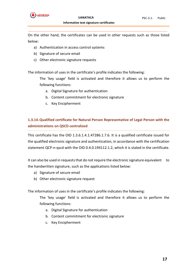

On the other hand, the certificates can be used in other requests such as those listed below:

- a) Authentication in access control systems
- b) Signature of secure email
- c) Other electronic signature requests

The information of uses in the certificate's profile indicates the following:

The 'key usage' field is activated and therefore it allows us to perform the following functions:

- a. Digital Signature for authentication
- b. Content commitment for electronic signature
- c. Key Encipherment

### <span id="page-16-0"></span>**1.3.14.Qualified certificate for Natural Person Representative of Legal Person with the administrations on QSCD centralized**

This certificate has the OID 1.3.6.1.4.1.47286.1.7.6. It is a qualified certificate issued for the qualified electronic signature and authentication, in accordance with the certification statement QCP-n-qscd with the OID 0.4.0.194112.1.2, which it is stated in the certificate.

It can also be used in requests that do not require the electronic signature equivalent to the handwritten signature, such as the applications listed below:

- a) Signature of secure email
- b) Other electronic signature request

The information of uses in the certificate's profile indicates the following:

The 'key usage' field is activated and therefore it allows us to perform the following functions:

- a. Digital Signature for authentication
- b. Content commitment for electronic signature
- c. Key Encipherment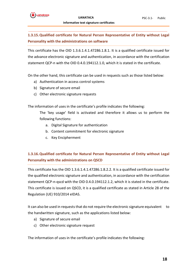### <span id="page-17-0"></span>**1.3.15.Qualified certificate for Natural Person Representative of Entity without Legal Personality with the administrations on software**

This certificate has the OID 1.3.6.1.4.1.47286.1.8.1. It is a qualified certificate issued for the advance electronic signature and authentication, in accordance with the certification statement QCP-n with the OID 0.4.0.194112.1.0, which it is stated in the certificate.

On the other hand, this certificate can be used in requests such as those listed below:

- a) Authentication in access control systems
- b) Signature of secure email
- c) Other electronic signature requests

The information of uses in the certificate's profile indicates the following:

The 'key usage' field is activated and therefore it allows us to perform the following functions:

- a. Digital Signature for authentication
- b. Content commitment for electronic signature
- c. Key Encipherment

### <span id="page-17-1"></span>**1.3.16.Qualified certificate for Natural Person Representative of Entity without Legal Personality with the administrations on QSCD**

This certificate has the OID 1.3.6.1.4.1.47286.1.8.2.2. It is a qualified certificate issued for the qualified electronic signature and authentication, in accordance with the certification statement QCP-n-qscd with the OID 0.4.0.194112.1.2, which it is stated in the certificate. This certificate is issued on QSCD, it is a qualified certificate as stated in Article 28 of the Regulation (UE) 910/2014 eIDAS.

It can also be used in requests that do not require the electronic signature equivalent to the handwritten signature, such as the applications listed below:

- a) Signature of secure email
- c) Other electronic signature request

The information of uses in the certificate's profile indicates the following: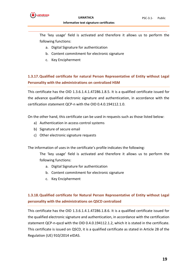

The 'key usage' field is activated and therefore it allows us to perform the following functions:

- a. Digital Signature for authentication
- b. Content commitment for electronic signature
- c. Key Encipherment

### <span id="page-18-0"></span>**1.3.17.Qualified certificate for natural Person Representative of Entity without Legal Personality with the administrations on centralized HSM**

This certificate has the OID 1.3.6.1.4.1.47286.1.8.5. It is a qualified certificate issued for the advance qualified electronic signature and authentication, in accordance with the certification statement QCP-n with the OID 0.4.0.194112.1.0.

On the other hand, this certificate can be used in requests such as those listed below:

- a) Authentication in access control systems
- b) Signature of secure email
- c) Other electronic signature requests

The information of uses in the certificate's profile indicates the following:

The 'key usage' field is activated and therefore it allows us to perform the following functions:

- a. Digital Signature for authentication
- b. Content commitment for electronic signature
- c. Key Encipherment

### <span id="page-18-1"></span>**1.3.18.Qualified certificate for Natural Person Representative of Entity without Legal personality with the administrations on QSCD centralized**

This certificate has the OID 1.3.6.1.4.1.47286.1.8.6. It is a qualified certificate issued for the qualified electronic signature and authentication, in accordance with the certification statement QCP-n-qscd with the OID 0.4.0.194112.1.2, which it is stated in the certificate. This certificate is issued on QSCD, it is a qualified certificate as stated in Article 28 of the Regulation (UE) 910/2014 eIDAS.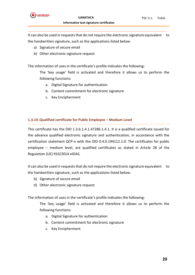

It can also be used in requests that do not require the electronic signature equivalent to the handwritten signature, such as the applications listed below:

- a) Signature of secure email
- b) Other electronic signature request

The information of uses in the certificate's profile indicates the following:

The 'key usage' field is activated and therefore it allows us to perform the following functions:

- a. Digital Signature for authentication
- b. Content commitment for electronic signature
- c. Key Encipherment

### <span id="page-19-0"></span>**1.3.19.Qualified certificate for Public Employee – Medium Level**

This certificate has the OID 1.3.6.1.4.1.47286.1.4.1. It is a qualified certificate issued for the advance qualified electronic signature and authentication, in accordance with the certification statement QCP-n with the OID 0.4.0.194112.1.0. The certificates for public employee – medium level, are qualified certificates as stated in Article 28 of the Regulation (UE) 910/2014 eIDAS.

It can also be used in requests that do not require the electronic signature equivalent to the handwritten signature, such as the applications listed below:

- b) Signature of secure email
- d) Other electronic signature request

The information of uses in the certificate's profile indicates the following:

The 'key usage' field is activated and therefore it allows us to perform the following functions:

- a. Digital Signature for authentication
- b. Content commitment for electronic signature
- c. Key Encipherment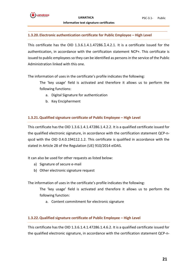

#### <span id="page-20-0"></span>**1.3.20.Electronic authentication certificate for Public Employee – High Level**

This certificate has the OID 1.3.6.1.4.1.47286.1.4.2.1. It is a certificate issued for the authentication, in accordance with the certification statement NCP+. This certificate is issued to public employees so they can be identified as persons in the service of the Public Administration linked with this one.

The information of uses in the certificate's profile indicates the following:

The 'key usage' field is activated and therefore it allows us to perform the following functions:

- a. Digital Signature for authentication
- b. Key Encipherment

### <span id="page-20-1"></span>**1.3.21.Qualified signature certificate of Public Employee – High Level**

This certificate has the OID 1.3.6.1.4.1.47286.1.4.2.2. It is a qualified certificate issued for the qualified electronic signature, in accordance with the certification statement QCP-nqscd with the OID 0.4.0.194112.1.2. This certificate is qualified in accordance with the stated in Article 28 of the Regulation (UE) 910/2014 eIDAS.

It can also be used for other requests as listed below:

- a) Signature of secure e-mail
- b) Other electronic signature request

The information of uses in the certificate's profile indicates the following:

The 'key usage' field is activated and therefore it allows us to perform the following function:

a. Content commitment for electronic signature

### <span id="page-20-2"></span>**1.3.22.Qualified signature certificate of Public Employee – High Level**

This certificate has the OID 1.3.6.1.4.1.47286.1.4.6.2. It is a qualified certificate issued for the qualified electronic signature, in accordance with the certification statement QCP-n-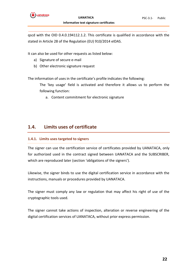

qscd with the OID 0.4.0.194112.1.2. This certificate is qualified in accordance with the stated in Article 28 of the Regulation (EU) 910/2014 eIDAS.

It can also be used for other requests as listed below:

- a) Signature of secure e-mail
- b) Other electronic signature request

The information of uses in the certificate's profile indicates the following:

The 'key usage' field is activated and therefore it allows us to perform the following function:

a. Content commitment for electronic signature

### <span id="page-21-0"></span>**1.4. Limits uses of certificate**

### <span id="page-21-1"></span>**1.4.1. Limits uses targeted to signers**

The signer can use the certification service of certificates provided by UANATACA, only for authorized used in the contract signed between UANATACA and the SUBSCRIBER, which are reproduced later (section 'obligations of the signers').

Likewise, the signer binds to use the digital certification service in accordance with the instructions, manuals or procedures provided by UANATACA.

The signer must comply any law or regulation that may affect his right of use of the cryptographic tools used.

The signer cannot take actions of inspection, alteration or reverse engineering of the digital certification services of UANATACA, without prior express permission.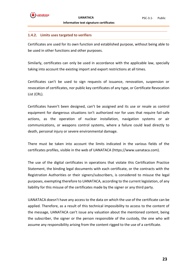#### <span id="page-22-0"></span>**1.4.2. Limits uses targeted to verifiers**

Certificates are used for its own function and established purpose, without being able to be used in other functions and other purposes.

Similarly, certificates can only be used in accordance with the applicable law, specially taking into account the existing import and export restrictions at all times.

Certificates can't be used to sign requests of issuance, renovation, suspension or revocation of certificates, nor public key certificates of any type, or Certificate Revocation List (CRL).

Certificates haven't been designed, can't be assigned and its use or resale as control equipment for dangerous situations isn't authorized nor for uses that require fail-safe actions, as the operation of nuclear installation, navigation systems or air communications, or weapons control systems, where a failure could lead directly to death, personal injury or severe environmental damage.

There must be taken into account the limits indicated in the various fields of the certificates profiles, visible in the web of UANATACA (https://www.uanataca.com).

The use of the digital certificates in operations that violate this Certification Practice Statement, the binding legal documents with each certificate, or the contracts with the Registration Authorities or their signers/subscribers, is considered to misuse the legal purposes, exempting therefore to UANATACA, according to the current legislation, of any liability for this misuse of the certificates made by the signer or any third party.

UANATACA doesn't have any access to the data on which the use of the certificate can be applied. Therefore, as a result of this technical impossibility to access to the content of the message, UANATACA can't issue any valuation about the mentioned content, being the subscriber, the signer or the person responsible of the custody, the one who will assume any responsibility arising from the content rigged to the use of a certificate.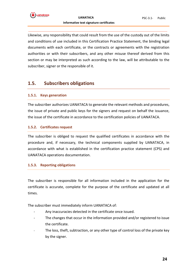

Likewise, any responsibility that could result from the use of the custody out of the limits and conditions of use included in this Certification Practice Statement, the binding legal documents with each certificate, or the contracts or agreements with the registration authorities or with their subscribers, and any other misuse thereof derived from this section or may be interpreted as such according to the law, will be attributable to the subscriber, signer or the responsible of it.

### <span id="page-23-0"></span>**1.5. Subscribers obligations**

#### <span id="page-23-1"></span>**1.5.1. Keys generation**

The subscriber authorizes UANATACA to generate the relevant methods and procedures, the issue of private and public keys for the signers and request on behalf the issuance, the issue of the certificate in accordance to the certification policies of UANATACA.

#### <span id="page-23-2"></span>**1.5.2. Certificates request**

The subscriber is obliged to request the qualified certificates in accordance with the procedure and, if necessary, the technical components supplied by UANATACA, in accordance with what is established in the certification practice statement (CPS) and UANATACA operations documentation.

#### <span id="page-23-3"></span>**1.5.3. Reporting obligations**

The subscriber is responsible for all information included in the application for the certificate is accurate, complete for the purpose of the certificate and updated at all times.

The subscriber must immediately inform UANATACA of:

- Any inaccuracies detected in the certificate once issued.
- The changes that occur in the information provided and/or registered to issue the certificate.
- The loss, theft, subtraction, or any other type of control loss of the private key by the signer.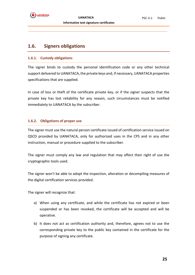### <span id="page-24-0"></span>**1.6. Signers obligations**

### <span id="page-24-1"></span>**1.6.1. Custody obligations**

The signer binds to custody the personal identification code or any other technical support delivered to UANATACA, the private keys and, if necessary, UANATACA properties specifications that are supplied.

In case of loss or theft of the certificate private key, or if the signer suspects that the private key has lost reliability for any reason, such circumstances must be notified immediately to UANATACA by the subscriber.

### <span id="page-24-2"></span>**1.6.2. Obligations of proper use**

The signer must use the natural person certificate issued of certification service issued on QSCD provided by UANATACA, only for authorized uses in the CPS and in any other instruction, manual or procedure supplied to the subscriber.

The signer must comply any law and regulation that may affect their right of use the cryptographic tools used.

The signer won't be able to adopt the inspection, alteration or decompiling measures of the digital certification services provided.

The signer will recognize that:

- a) When using any certificate, and while the certificate has not expired or been suspended or has been revoked, the certificate will be accepted and will be operative.
- b) It does not act as certification authority and, therefore, agrees not to use the corresponding private key to the public key contained in the certificate for the purpose of signing any certificate.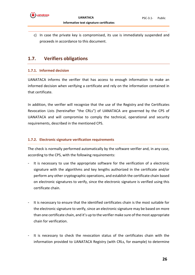

c) In case the private key is compromised, its use is immediately suspended and proceeds in accordance to this document.

### <span id="page-25-0"></span>**1.7. Verifiers obligations**

### <span id="page-25-1"></span>**1.7.1. Informed decision**

UANATACA informs the verifier that has access to enough information to make an informed decision when verifying a certificate and rely on the information contained in that certificate.

In addition, the verifier will recognize that the use of the Registry and the Certificates Revocation Lists (hereinafter "the CRLs") of UANATACA are governed by the CPS of UANATACA and will compromise to comply the technical, operational and security requirements, described in the mentioned CPS.

### <span id="page-25-2"></span>**1.7.2. Electronic signature verification requirements**

The check is normally performed automatically by the software verifier and, in any case, according to the CPS, with the following requirements:

- It is necessary to use the appropriate software for the verification of a electronic signature with the algorithms and key lengths authorized in the certificate and/or perform any other cryptographic operations, and establish the certificate chain based on electronic signatures to verify, since the electronic signature is verified using this certificate chain.
- It is necessary to ensure that the identified certificates chain is the most suitable for the electronic signature to verify, since an electronic signature may be based on more than one certificate chain, and it's up to the verifier make sure of the most appropriate chain for verification.
- It is necessary to check the revocation status of the certificates chain with the information provided to UANATACA Registry (with CRLs, for example) to determine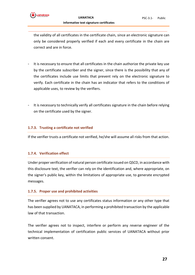

the validity of all certificates in the certificate chain, since an electronic signature can only be considered properly verified if each and every certificate in the chain are correct and are in force.

- It is necessary to ensure that all certificates in the chain authorize the private key use by the certificate subscriber and the signer, since there is the possibility that any of the certificates include use limits that prevent rely on the electronic signature to verify. Each certificate in the chain has an indicator that refers to the conditions of applicable uses, to review by the verifiers.
- It is necessary to technically verify all certificates signature in the chain before relying on the certificate used by the signer.

#### <span id="page-26-0"></span>**1.7.3. Trusting a certificate not verified**

If the verifier trusts a certificate not verified, he/she will assume all risks from that action.

#### <span id="page-26-1"></span>**1.7.4. Verification effect**

Under proper verification of natural person certificate issued on QSCD, in accordance with this disclosure text, the verifier can rely on the identification and, where appropriate, on the signer's public key, within the limitations of appropriate use, to generate encrypted messages.

#### <span id="page-26-2"></span>**1.7.5. Proper use and prohibited activities**

The verifier agrees not to use any certificates status information or any other type that has been supplied by UANATACA, in performing a prohibited transaction by the applicable law of that transaction.

The verifier agrees not to inspect, interfere or perform any reverse engineer of the technical implementation of certification public services of UANATACA without prior written consent.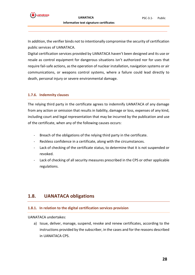In addition, the verifier binds not to intentionally compromise the security of certification public services of UANATACA.

Digital certification services provided by UANATACA haven't been designed and its use or resale as control equipment for dangerous situations isn't authorized nor for uses that require fail-safe actions, as the operation of nuclear installation, navigation systems or air communications, or weapons control systems, where a failure could lead directly to death, personal injury or severe environmental damage.

#### <span id="page-27-0"></span>**1.7.6. Indemnity clauses**

The relying third party in the certificate agrees to indemnify UANATACA of any damage from any action or omission that results in liability, damage or loss, expenses of any kind, including court and legal representation that may be incurred by the publication and use of the certificate, when any of the following causes occurs:

- Breach of the obligations of the relying third party in the certificate.
- Reckless confidence in a certificate, along with the circumstances.
- Lack of checking of the certificate status, to determine that it is not suspended or revoked.
- Lack of checking of all security measures prescribed in the CPS or other applicable regulations.

### <span id="page-27-1"></span>**1.8. UANATACA obligations**

#### <span id="page-27-2"></span>**1.8.1. In relation to the digital certification services provision**

UANATACA undertakes:

a) Issue, deliver, manage, suspend, revoke and renew certificates, according to the instructions provided by the subscriber, in the cases and for the reasons described in UANATACA CPS.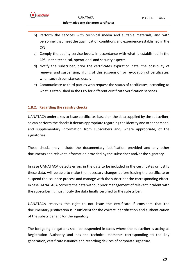

- b) Perform the services with technical media and suitable materials, and with personnel that meet the qualification conditions and experience established in the CPS.
- c) Comply the quality service levels, in accordance with what is established in the CPS, in the technical, operational and security aspects.
- d) Notify the subscriber, prior the certificates expiration date, the possibility of renewal and suspension, lifting of this suspension or revocation of certificates, when such circumstances occur.
- e) Communicate to third parties who request the status of certificates, according to what is established in the CPS for different certificate verification services.

#### <span id="page-28-0"></span>**1.8.2. Regarding the registry checks**

UANATACA undertakes to issue certificates based on the data supplied by the subscriber, so can perform the checks it deems appropriate regarding the identity and other personal and supplementary information from subscribers and, where appropriate, of the signatories.

These checks may include the documentary justification provided and any other documents and relevant information provided by the subscriber and/or the signatory.

In case UANATACA detects errors in the data to be included in the certificates or justify these data, will be able to make the necessary changes before issuing the certificate or suspend the issuance process and manage with the subscriber the corresponding effect. In case UANATACA corrects the data without prior management of relevant incident with the subscriber, it must notify the data finally certified to the subscriber.

UANATACA reserves the right to not issue the certificate if considers that the documentary justification is insufficient for the correct identification and authentication of the subscriber and/or the signatory.

The foregoing obligations shall be suspended in cases where the subscriber is acting as Registration Authority and has the technical elements corresponding to the key generation, certificate issuance and recording devices of corporate signature.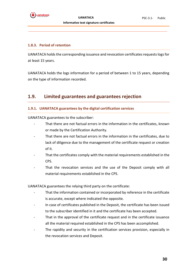### <span id="page-29-0"></span>**1.8.3. Period of retention**

UANATACA holds the corresponding issuance and revocation certificates requests logs for at least 15 years.

UANATACA holds the logs information for a period of between 1 to 15 years, depending on the type of information recorded.

### <span id="page-29-1"></span>**1.9. Limited guarantees and guarantees rejection**

### <span id="page-29-2"></span>**1.9.1. UANATACA guarantees by the digital certification services**

UANATACA guarantees to the subscriber:

- That there are not factual errors in the information in the certificates, known or made by the Certification Authority.
- That there are not factual errors in the information in the certificates, due to lack of diligence due to the management of the certificate request or creation of it.
- That the certificates comply with the material requirements established in the CPS.
- That the revocation services and the use of the Deposit comply with all material requirements established in the CPS.

UANATACA guarantees the relying third party on the certificate:

- That the information contained or incorporated by reference in the certificate is accurate, except where indicated the opposite.
- In case of certificates published in the Deposit, the certificate has been issued to the subscriber identified in it and the certificate has been accepted.
- That in the approval of the certificate request and in the certificate issuance all the material required established in the CPS has been accomplished.
- The rapidity and security in the certification services provision, especially in the revocation services and Deposit.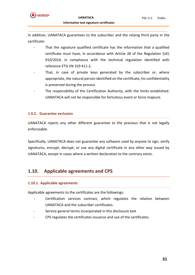

In addition, UANATACA guarantees to the subscriber and the relying third party in the certificate:

- That the signature qualified certificate has the information that a qualified certificate must have, in accordance with Article 28 of the Regulation (UE) 910/2014, in compliance with the technical regulation identified with reference ETSI EN 319 411-2.
- That, in case of private keys generated by the subscriber or, where appropriate, the natural person identified on the certificate, his confidentiality is preserved during the process
- The responsibility of the Certification Authority, with the limits established. UANATACA will not be responsible for fortuitous event or force majeure.

### <span id="page-30-0"></span>**1.9.2. Guarantee exclusion**

UANATACA rejects any other different guarantee to the previous that is not legally enforceable.

Specifically, UANATACA does not guarantee any software used by anyone to sign, verify signatures, encrypt, decrypt, or use any digital certificate in any other way issued by UANATACA, except in cases where a written declaration to the contrary exists.

### <span id="page-30-1"></span>**1.10. Applicable agreements and CPS**

### <span id="page-30-2"></span>**1.10.1. Applicable agreements**

Applicable agreements to the certificates are the followings:

- Certification services contract, which regulates the relation between UANATACA and the subscriber certificates.
- Service general terms incorporated in this disclosure text
- CPS regulates the certificates issuance and use of the certificates.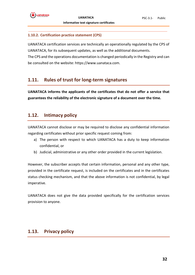### <span id="page-31-0"></span>**1.10.2. Certification practice statement (CPS)**

UANATACA certification services are technically an operationally regulated by the CPS of UANATACA, for its subsequent updates, as well as the additional documents.

The CPS and the operations documentation is changed periodically in the Registry and can be consulted on the website: https://www.uanataca.com.

### <span id="page-31-1"></span>**1.11. Rules of trust for long-term signatures**

**UANATACA informs the applicants of the certificates that do not offer a service that guarantees the reliability of the electronic signature of a document over the time.** 

### <span id="page-31-2"></span>**1.12. Intimacy policy**

UANATACA cannot disclose or may be required to disclose any confidential information regarding certificates without prior specific request coming from:

- a) The person with respect to which UANATACA has a duty to keep information confidential, or
- b) Judicial, administrative or any other order provided in the current legislation.

However, the subscriber accepts that certain information, personal and any other type, provided in the certificate request, is included on the certificates and in the certificates status checking mechanism, and that the above information is not confidential, by legal imperative.

UANATACA does not give the data provided specifically for the certification services provision to anyone.

### <span id="page-31-3"></span>**1.13. Privacy policy**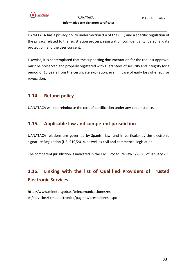

UANATACA has a privacy policy under Section 9.4 of the CPS, and a specific regulation of the privacy related to the registration process, registration confidentiality, personal data protection, and the user consent.

Likewise, it is contemplated that the supporting documentation for the request approval must be preserved and properly registered with guarantees of security and integrity for a period of 15 years from the certificate expiration, even in case of early loss of effect for revocation.

### <span id="page-32-0"></span>**1.14. Refund policy**

UANATACA will not reimburse the cost of certification under any circumstance.

### <span id="page-32-1"></span>**1.15. Applicable law and competent jurisdiction**

UANATACA relations are governed by Spanish law, and in particular by the electronic signature Regulation (UE) 910/2014, as well as civil and commercial legislation.

The competent jurisdiction is indicated in the Civil Procedure Law  $1/2000$ , of January  $7<sup>th</sup>$ .

## <span id="page-32-2"></span>**1.16. Linking with the list of Qualified Providers of Trusted Electronic Services**

[http://www.minetur.gob.es/telecomunicaciones/es](http://www.minetur.gob.es/telecomunicaciones/es-es/servicios/firmaelectronica/paginas/prestadores.aspx)[es/servicios/firmaelectronica/paginas/prestadores.aspx](http://www.minetur.gob.es/telecomunicaciones/es-es/servicios/firmaelectronica/paginas/prestadores.aspx)